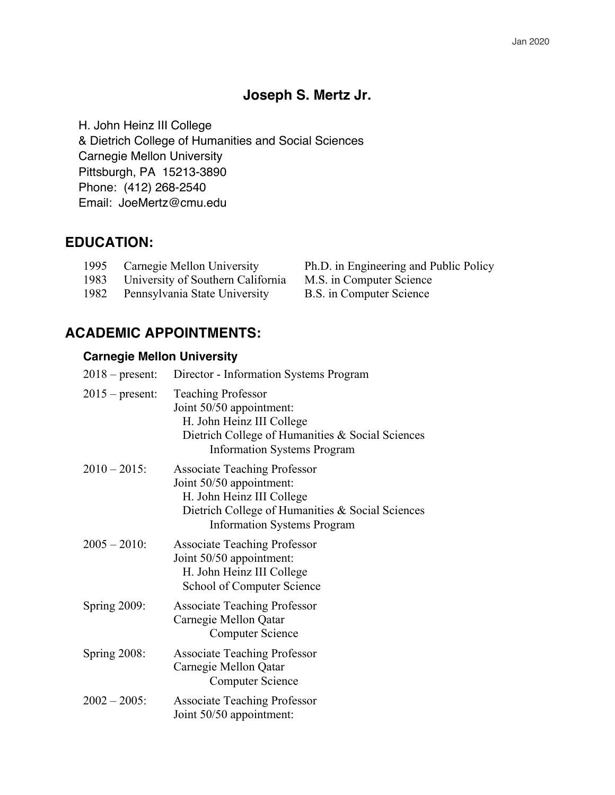## **Joseph S. Mertz Jr.**

H. John Heinz III College

& Dietrich College of Humanities and Social Sciences Carnegie Mellon University Pittsburgh, PA 15213-3890 Phone: (412) 268-2540 Email: JoeMertz@cmu.edu

## **EDUCATION:**

| 1995 | Carnegie Mellon University        | Ph.D. in Engineering and 1 |
|------|-----------------------------------|----------------------------|
| 1983 | University of Southern California | M.S. in Computer Science   |
| 1982 | Pennsylvania State University     | B.S. in Computer Science   |

Ph.D. in Engineering and Public Policy a M.S. in Computer Science

# **ACADEMIC APPOINTMENTS:**

### **Carnegie Mellon University**

| $2018$ – present: | Director - Information Systems Program                                                                                                                                                 |
|-------------------|----------------------------------------------------------------------------------------------------------------------------------------------------------------------------------------|
| $2015$ – present: | <b>Teaching Professor</b><br>Joint 50/50 appointment:<br>H. John Heinz III College<br>Dietrich College of Humanities & Social Sciences<br><b>Information Systems Program</b>           |
| $2010 - 2015$ :   | <b>Associate Teaching Professor</b><br>Joint 50/50 appointment:<br>H. John Heinz III College<br>Dietrich College of Humanities & Social Sciences<br><b>Information Systems Program</b> |
| $2005 - 2010$ :   | <b>Associate Teaching Professor</b><br>Joint 50/50 appointment:<br>H. John Heinz III College<br>School of Computer Science                                                             |
| Spring 2009:      | <b>Associate Teaching Professor</b><br>Carnegie Mellon Qatar<br><b>Computer Science</b>                                                                                                |
| Spring 2008:      | <b>Associate Teaching Professor</b><br>Carnegie Mellon Qatar<br><b>Computer Science</b>                                                                                                |
| $2002 - 2005$ :   | <b>Associate Teaching Professor</b><br>Joint 50/50 appointment:                                                                                                                        |
|                   |                                                                                                                                                                                        |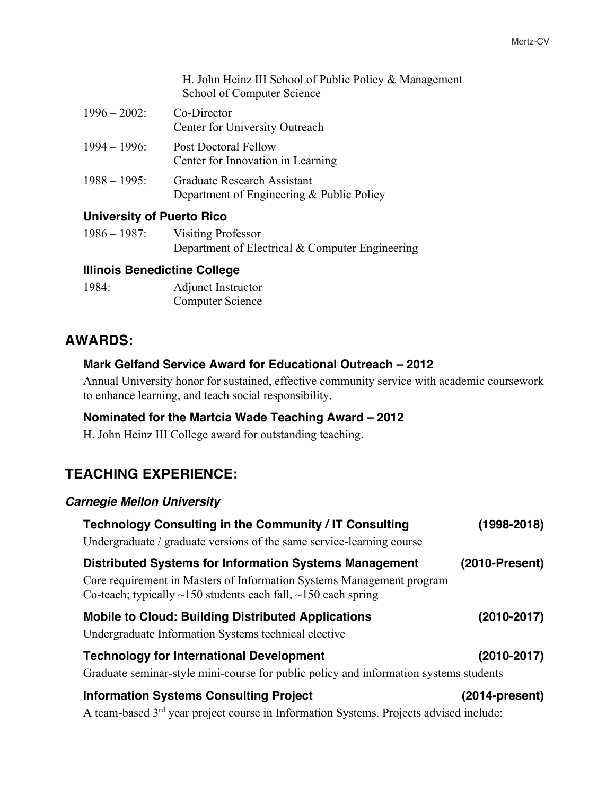H. John Heinz III School of Public Policy & Management School of Computer Science

| $1996 - 2002$ : | Co-Director<br>Center for University Outreach                            |
|-----------------|--------------------------------------------------------------------------|
| $1994 - 1996$ : | Post Doctoral Fellow<br>Center for Innovation in Learning                |
| $1988 - 1995$ : | Graduate Research Assistant<br>Department of Engineering & Public Policy |

### **University of Puerto Rico**

| $1986 - 1987$ : | <b>Visiting Professor</b>                       |
|-----------------|-------------------------------------------------|
|                 | Department of Electrical & Computer Engineering |

### **Illinois Benedictine College**

1984: Adjunct Instructor Computer Science

## **AWARDS:**

## **Mark Gelfand Service Award for Educational Outreach – 2012**

Annual University honor for sustained, effective community service with academic coursework to enhance learning, and teach social responsibility.

### **Nominated for the Martcia Wade Teaching Award – 2012**

H. John Heinz III College award for outstanding teaching.

# **TEACHING EXPERIENCE:**

### *Carnegie Mellon University*

| Technology Consulting in the Community / IT Consulting<br>Undergraduate / graduate versions of the same service-learning course                                                                                     | (1998-2018)       |
|---------------------------------------------------------------------------------------------------------------------------------------------------------------------------------------------------------------------|-------------------|
| <b>Distributed Systems for Information Systems Management</b><br>Core requirement in Masters of Information Systems Management program<br>Co-teach; typically $\sim$ 150 students each fall, $\sim$ 150 each spring | $(2010-Present)$  |
| <b>Mobile to Cloud: Building Distributed Applications</b><br>Undergraduate Information Systems technical elective                                                                                                   | $(2010 - 2017)$   |
| <b>Technology for International Development</b><br>Graduate seminar-style mini-course for public policy and information systems students                                                                            | $(2010 - 2017)$   |
| <b>Information Systems Consulting Project</b><br>A team-based 3 <sup>rd</sup> year project course in Information Systems. Projects advised include:                                                                 | $(2014$ -present) |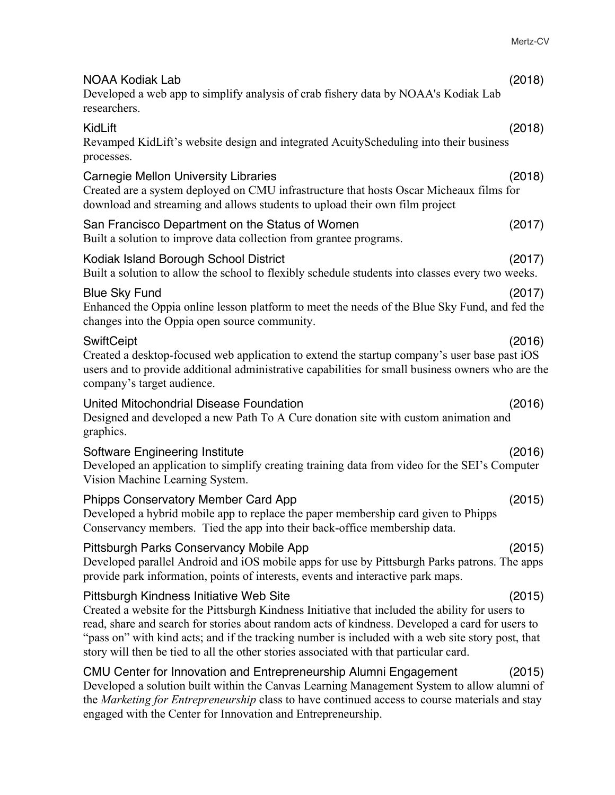| <b>NOAA Kodiak Lab</b><br>Developed a web app to simplify analysis of crab fishery data by NOAA's Kodiak Lab<br>researchers.                                                                                                                                                                                                                                                                                                                 | (2018) |
|----------------------------------------------------------------------------------------------------------------------------------------------------------------------------------------------------------------------------------------------------------------------------------------------------------------------------------------------------------------------------------------------------------------------------------------------|--------|
| KidLift<br>Revamped KidLift's website design and integrated AcuityScheduling into their business<br>processes.                                                                                                                                                                                                                                                                                                                               | (2018) |
| <b>Carnegie Mellon University Libraries</b><br>Created are a system deployed on CMU infrastructure that hosts Oscar Micheaux films for<br>download and streaming and allows students to upload their own film project                                                                                                                                                                                                                        | (2018) |
| San Francisco Department on the Status of Women<br>Built a solution to improve data collection from grantee programs.                                                                                                                                                                                                                                                                                                                        | (2017) |
| Kodiak Island Borough School District<br>Built a solution to allow the school to flexibly schedule students into classes every two weeks.                                                                                                                                                                                                                                                                                                    | (2017) |
| <b>Blue Sky Fund</b><br>Enhanced the Oppia online lesson platform to meet the needs of the Blue Sky Fund, and fed the<br>changes into the Oppia open source community.                                                                                                                                                                                                                                                                       | (2017) |
| SwiftCeipt<br>Created a desktop-focused web application to extend the startup company's user base past iOS<br>users and to provide additional administrative capabilities for small business owners who are the<br>company's target audience.                                                                                                                                                                                                | (2016) |
| United Mitochondrial Disease Foundation<br>Designed and developed a new Path To A Cure donation site with custom animation and<br>graphics.                                                                                                                                                                                                                                                                                                  | (2016) |
| Software Engineering Institute<br>Developed an application to simplify creating training data from video for the SEI's Computer<br>Vision Machine Learning System.                                                                                                                                                                                                                                                                           | (2016) |
| <b>Phipps Conservatory Member Card App</b><br>Developed a hybrid mobile app to replace the paper membership card given to Phipps<br>Conservancy members. Tied the app into their back-office membership data.                                                                                                                                                                                                                                | (2015) |
| Pittsburgh Parks Conservancy Mobile App<br>Developed parallel Android and iOS mobile apps for use by Pittsburgh Parks patrons. The apps<br>provide park information, points of interests, events and interactive park maps.                                                                                                                                                                                                                  | (2015) |
| Pittsburgh Kindness Initiative Web Site<br>Created a website for the Pittsburgh Kindness Initiative that included the ability for users to<br>read, share and search for stories about random acts of kindness. Developed a card for users to<br>"pass on" with kind acts; and if the tracking number is included with a web site story post, that<br>story will then be tied to all the other stories associated with that particular card. | (2015) |
| CMU Center for Innovation and Entrepreneurship Alumni Engagement<br>Developed a solution built within the Canvas Learning Management System to allow alumni of<br>the Marketing for Entrepreneurship class to have continued access to course materials and stay<br>engaged with the Center for Innovation and Entrepreneurship.                                                                                                             | (2015) |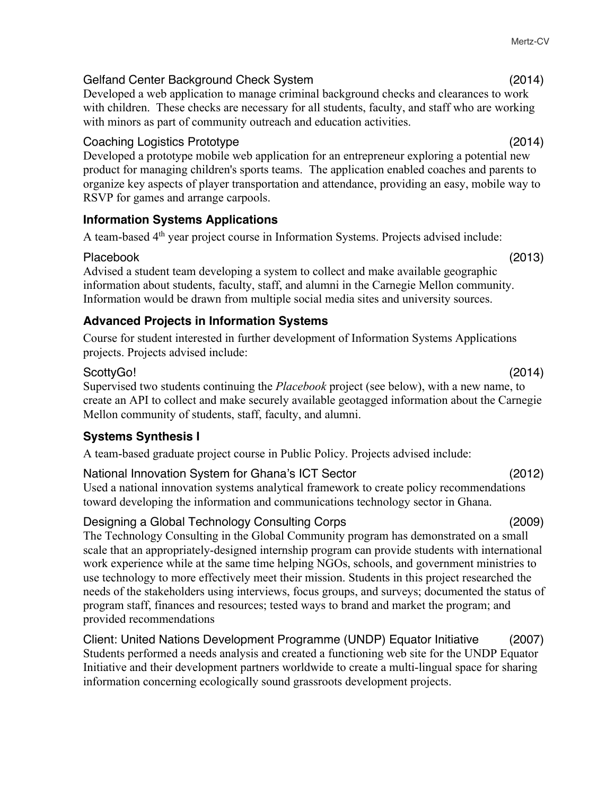### Gelfand Center Background Check System (2014)

Developed a web application to manage criminal background checks and clearances to work with children. These checks are necessary for all students, faculty, and staff who are working with minors as part of community outreach and education activities.

### Coaching Logistics Prototype (2014)

Developed a prototype mobile web application for an entrepreneur exploring a potential new product for managing children's sports teams. The application enabled coaches and parents to organize key aspects of player transportation and attendance, providing an easy, mobile way to RSVP for games and arrange carpools.

### **Information Systems Applications**

A team-based 4th year project course in Information Systems. Projects advised include:

Placebook (2013) Advised a student team developing a system to collect and make available geographic information about students, faculty, staff, and alumni in the Carnegie Mellon community. Information would be drawn from multiple social media sites and university sources.

### **Advanced Projects in Information Systems**

Course for student interested in further development of Information Systems Applications projects. Projects advised include:

### ScottyGo! (2014)

Supervised two students continuing the *Placebook* project (see below), with a new name, to create an API to collect and make securely available geotagged information about the Carnegie Mellon community of students, staff, faculty, and alumni.

### **Systems Synthesis I**

A team-based graduate project course in Public Policy. Projects advised include:

National Innovation System for Ghana's ICT Sector (2012) Used a national innovation systems analytical framework to create policy recommendations toward developing the information and communications technology sector in Ghana.

### Designing a Global Technology Consulting Corps (2009)

The Technology Consulting in the Global Community program has demonstrated on a small scale that an appropriately-designed internship program can provide students with international work experience while at the same time helping NGOs, schools, and government ministries to use technology to more effectively meet their mission. Students in this project researched the needs of the stakeholders using interviews, focus groups, and surveys; documented the status of program staff, finances and resources; tested ways to brand and market the program; and provided recommendations

Client: United Nations Development Programme (UNDP) Equator Initiative (2007) Students performed a needs analysis and created a functioning web site for the UNDP Equator Initiative and their development partners worldwide to create a multi-lingual space for sharing information concerning ecologically sound grassroots development projects.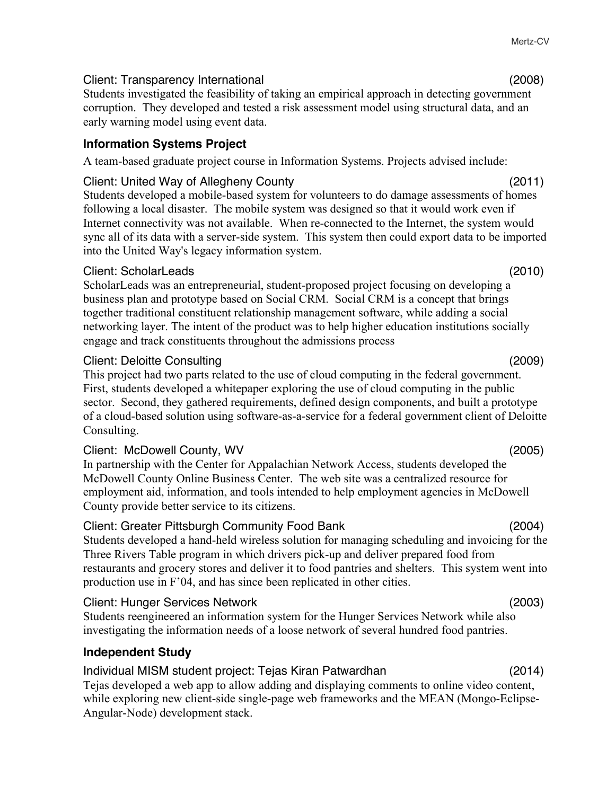## Client: Transparency International (2008)

Students investigated the feasibility of taking an empirical approach in detecting government corruption. They developed and tested a risk assessment model using structural data, and an early warning model using event data.

## **Information Systems Project**

A team-based graduate project course in Information Systems. Projects advised include:

## Client: United Way of Allegheny County (2011)

Students developed a mobile-based system for volunteers to do damage assessments of homes following a local disaster. The mobile system was designed so that it would work even if Internet connectivity was not available. When re-connected to the Internet, the system would sync all of its data with a server-side system. This system then could export data to be imported into the United Way's legacy information system.

## Client: ScholarLeads (2010)

ScholarLeads was an entrepreneurial, student-proposed project focusing on developing a business plan and prototype based on Social CRM. Social CRM is a concept that brings together traditional constituent relationship management software, while adding a social networking layer. The intent of the product was to help higher education institutions socially engage and track constituents throughout the admissions process

## Client: Deloitte Consulting (2009)

This project had two parts related to the use of cloud computing in the federal government. First, students developed a whitepaper exploring the use of cloud computing in the public sector. Second, they gathered requirements, defined design components, and built a prototype of a cloud-based solution using software-as-a-service for a federal government client of Deloitte Consulting.

# Client: McDowell County, WV (2005)

In partnership with the Center for Appalachian Network Access, students developed the McDowell County Online Business Center. The web site was a centralized resource for employment aid, information, and tools intended to help employment agencies in McDowell County provide better service to its citizens.

# Client: Greater Pittsburgh Community Food Bank (2004)

Students developed a hand-held wireless solution for managing scheduling and invoicing for the Three Rivers Table program in which drivers pick-up and deliver prepared food from restaurants and grocery stores and deliver it to food pantries and shelters. This system went into production use in F'04, and has since been replicated in other cities.

# Client: Hunger Services Network (2003)

Students reengineered an information system for the Hunger Services Network while also investigating the information needs of a loose network of several hundred food pantries.

# **Independent Study**

# Individual MISM student project: Tejas Kiran Patwardhan (2014)

Tejas developed a web app to allow adding and displaying comments to online video content, while exploring new client-side single-page web frameworks and the MEAN (Mongo-Eclipse-Angular-Node) development stack.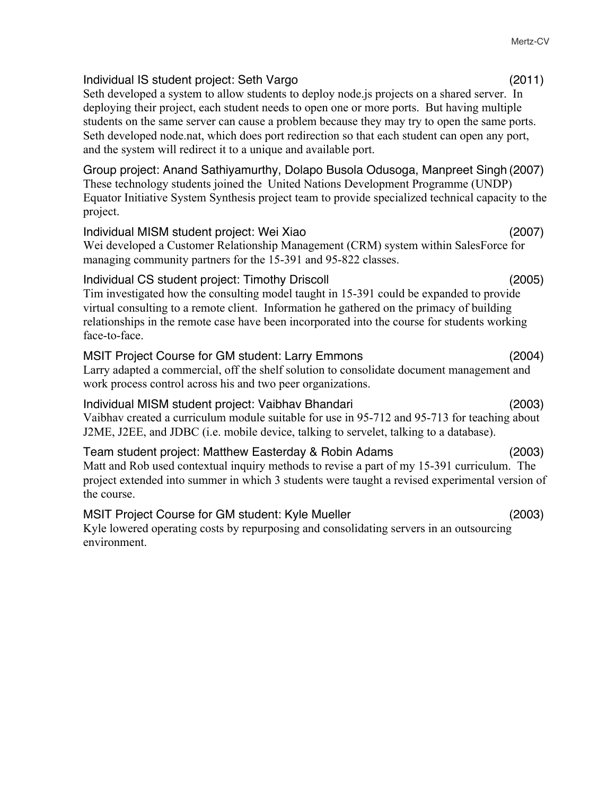| Individual IS student project: Seth Vargo<br>Seth developed a system to allow students to deploy node.js projects on a shared server. In<br>deploying their project, each student needs to open one or more ports. But having multiple<br>students on the same server can cause a problem because they may try to open the same ports.<br>Seth developed node.nat, which does port redirection so that each student can open any port,<br>and the system will redirect it to a unique and available port. | (2011) |
|-----------------------------------------------------------------------------------------------------------------------------------------------------------------------------------------------------------------------------------------------------------------------------------------------------------------------------------------------------------------------------------------------------------------------------------------------------------------------------------------------------------|--------|
| Group project: Anand Sathiyamurthy, Dolapo Busola Odusoga, Manpreet Singh (2007)<br>These technology students joined the United Nations Development Programme (UNDP)<br>Equator Initiative System Synthesis project team to provide specialized technical capacity to the<br>project.                                                                                                                                                                                                                     |        |
| Individual MISM student project: Wei Xiao<br>Wei developed a Customer Relationship Management (CRM) system within SalesForce for<br>managing community partners for the 15-391 and 95-822 classes.                                                                                                                                                                                                                                                                                                        | (2007) |
| Individual CS student project: Timothy Driscoll<br>Tim investigated how the consulting model taught in 15-391 could be expanded to provide<br>virtual consulting to a remote client. Information he gathered on the primacy of building<br>relationships in the remote case have been incorporated into the course for students working<br>face-to-face.                                                                                                                                                  | (2005) |
| <b>MSIT Project Course for GM student: Larry Emmons</b><br>Larry adapted a commercial, off the shelf solution to consolidate document management and<br>work process control across his and two peer organizations.                                                                                                                                                                                                                                                                                       | (2004) |
| Individual MISM student project: Vaibhav Bhandari<br>Vaibhav created a curriculum module suitable for use in 95-712 and 95-713 for teaching about<br>J2ME, J2EE, and JDBC (i.e. mobile device, talking to servelet, talking to a database).                                                                                                                                                                                                                                                               | (2003) |
| Team student project: Matthew Easterday & Robin Adams<br>Matt and Rob used contextual inquiry methods to revise a part of my 15-391 curriculum. The                                                                                                                                                                                                                                                                                                                                                       | (2003) |

project extended into summer in which 3 students were taught a revised experimental version of the course.

### MSIT Project Course for GM student: Kyle Mueller (2003) Kyle lowered operating costs by repurposing and consolidating servers in an outsourcing environment.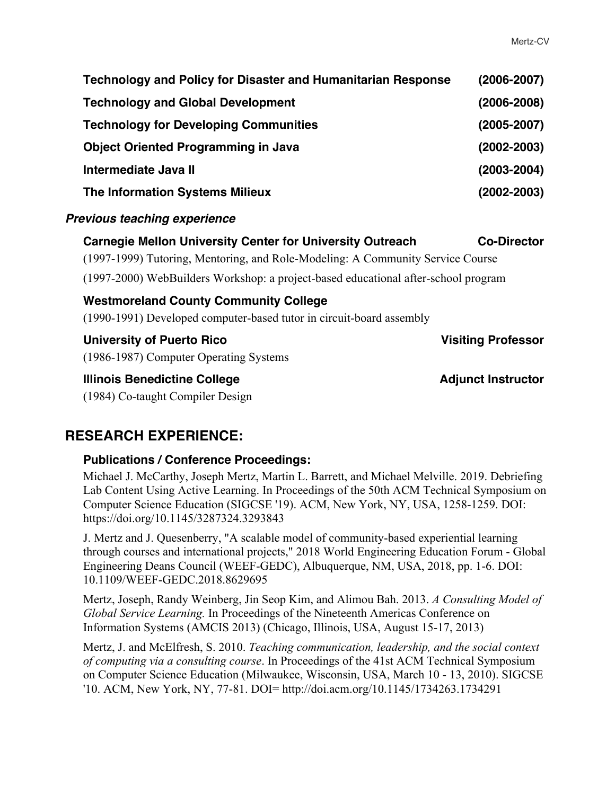| <b>Technology and Policy for Disaster and Humanitarian Response</b> | $(2006 - 2007)$ |
|---------------------------------------------------------------------|-----------------|
| <b>Technology and Global Development</b>                            | $(2006 - 2008)$ |
| <b>Technology for Developing Communities</b>                        | $(2005 - 2007)$ |
| <b>Object Oriented Programming in Java</b>                          | $(2002 - 2003)$ |
| Intermediate Java II                                                | $(2003 - 2004)$ |
| <b>The Information Systems Milieux</b>                              | $(2002 - 2003)$ |

### *Previous teaching experience*

**Carnegie Mellon University Center for University Outreach Co-Director** (1997-1999) Tutoring, Mentoring, and Role-Modeling: A Community Service Course (1997-2000) WebBuilders Workshop: a project-based educational after-school program **Westmoreland County Community College** (1990-1991) Developed computer-based tutor in circuit-board assembly **University of Puerto Rico Visiting Professor** (1986-1987) Computer Operating Systems **Illinois Benedictine College Adjunct Instructor Adjunct Instructor** 

(1984) Co-taught Compiler Design

## **RESEARCH EXPERIENCE:**

### **Publications / Conference Proceedings:**

Michael J. McCarthy, Joseph Mertz, Martin L. Barrett, and Michael Melville. 2019. Debriefing Lab Content Using Active Learning. In Proceedings of the 50th ACM Technical Symposium on Computer Science Education (SIGCSE '19). ACM, New York, NY, USA, 1258-1259. DOI: https://doi.org/10.1145/3287324.3293843

J. Mertz and J. Quesenberry, "A scalable model of community-based experiential learning through courses and international projects," 2018 World Engineering Education Forum - Global Engineering Deans Council (WEEF-GEDC), Albuquerque, NM, USA, 2018, pp. 1-6. DOI: 10.1109/WEEF-GEDC.2018.8629695

Mertz, Joseph, Randy Weinberg, Jin Seop Kim, and Alimou Bah. 2013. *A Consulting Model of Global Service Learning.* In Proceedings of the Nineteenth Americas Conference on Information Systems (AMCIS 2013) (Chicago, Illinois, USA, August 15-17, 2013)

Mertz, J. and McElfresh, S. 2010. *Teaching communication, leadership, and the social context of computing via a consulting course*. In Proceedings of the 41st ACM Technical Symposium on Computer Science Education (Milwaukee, Wisconsin, USA, March 10 - 13, 2010). SIGCSE '10. ACM, New York, NY, 77-81. DOI= http://doi.acm.org/10.1145/1734263.1734291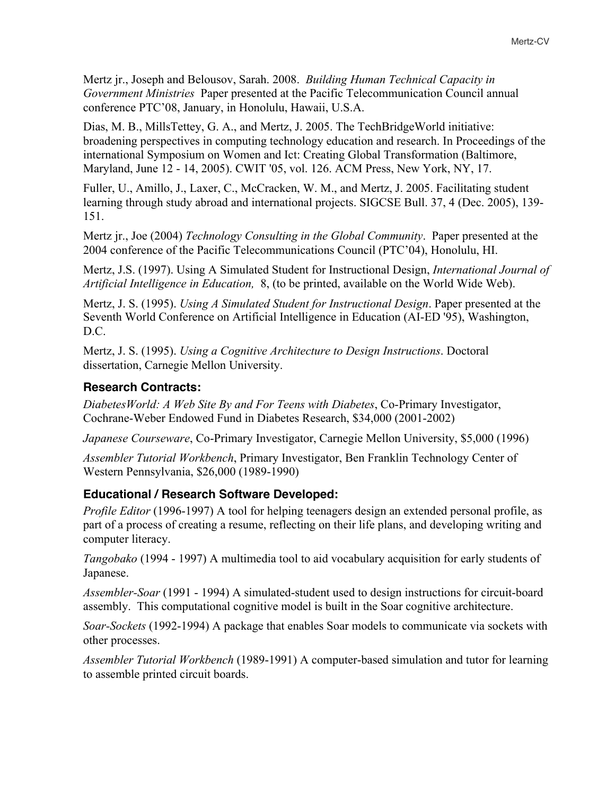Mertz jr., Joseph and Belousov, Sarah. 2008. *Building Human Technical Capacity in Government Ministries* Paper presented at the Pacific Telecommunication Council annual conference PTC'08, January, in Honolulu, Hawaii, U.S.A.

Dias, M. B., MillsTettey, G. A., and Mertz, J. 2005. The TechBridgeWorld initiative: broadening perspectives in computing technology education and research. In Proceedings of the international Symposium on Women and Ict: Creating Global Transformation (Baltimore, Maryland, June 12 - 14, 2005). CWIT '05, vol. 126. ACM Press, New York, NY, 17.

Fuller, U., Amillo, J., Laxer, C., McCracken, W. M., and Mertz, J. 2005. Facilitating student learning through study abroad and international projects. SIGCSE Bull. 37, 4 (Dec. 2005), 139- 151.

Mertz jr., Joe (2004) *Technology Consulting in the Global Community*. Paper presented at the 2004 conference of the Pacific Telecommunications Council (PTC'04), Honolulu, HI.

Mertz, J.S. (1997). Using A Simulated Student for Instructional Design, *International Journal of Artificial Intelligence in Education,* 8, (to be printed, available on the World Wide Web).

Mertz, J. S. (1995). *Using A Simulated Student for Instructional Design*. Paper presented at the Seventh World Conference on Artificial Intelligence in Education (AI-ED '95), Washington, D.C.

Mertz, J. S. (1995). *Using a Cognitive Architecture to Design Instructions*. Doctoral dissertation, Carnegie Mellon University.

### **Research Contracts:**

*DiabetesWorld: A Web Site By and For Teens with Diabetes*, Co-Primary Investigator, Cochrane-Weber Endowed Fund in Diabetes Research, \$34,000 (2001-2002)

*Japanese Courseware*, Co-Primary Investigator, Carnegie Mellon University, \$5,000 (1996)

*Assembler Tutorial Workbench*, Primary Investigator, Ben Franklin Technology Center of Western Pennsylvania, \$26,000 (1989-1990)

### **Educational / Research Software Developed:**

*Profile Editor* (1996-1997) A tool for helping teenagers design an extended personal profile, as part of a process of creating a resume, reflecting on their life plans, and developing writing and computer literacy.

*Tangobako* (1994 - 1997) A multimedia tool to aid vocabulary acquisition for early students of Japanese.

*Assembler-Soar* (1991 - 1994) A simulated-student used to design instructions for circuit-board assembly. This computational cognitive model is built in the Soar cognitive architecture.

*Soar-Sockets* (1992-1994) A package that enables Soar models to communicate via sockets with other processes.

*Assembler Tutorial Workbench* (1989-1991) A computer-based simulation and tutor for learning to assemble printed circuit boards.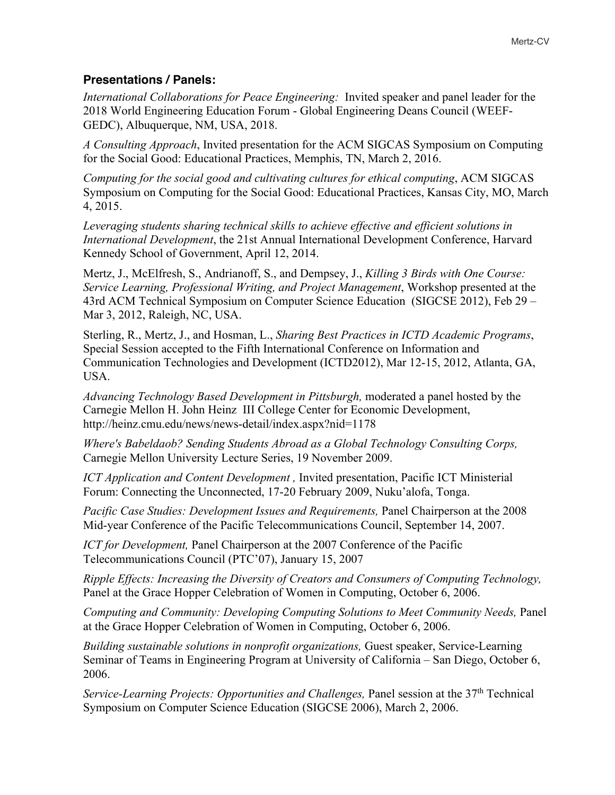### **Presentations / Panels:**

*International Collaborations for Peace Engineering:* Invited speaker and panel leader for the 2018 World Engineering Education Forum - Global Engineering Deans Council (WEEF-GEDC), Albuquerque, NM, USA, 2018.

*A Consulting Approach*, Invited presentation for the ACM SIGCAS Symposium on Computing for the Social Good: Educational Practices, Memphis, TN, March 2, 2016.

*Computing for the social good and cultivating cultures for ethical computing*, ACM SIGCAS Symposium on Computing for the Social Good: Educational Practices, Kansas City, MO, March 4, 2015.

*Leveraging students sharing technical skills to achieve effective and efficient solutions in International Development*, the 21st Annual International Development Conference, Harvard Kennedy School of Government, April 12, 2014.

Mertz, J., McElfresh, S., Andrianoff, S., and Dempsey, J., *Killing 3 Birds with One Course: Service Learning, Professional Writing, and Project Management*, Workshop presented at the 43rd ACM Technical Symposium on Computer Science Education (SIGCSE 2012), Feb 29 – Mar 3, 2012, Raleigh, NC, USA.

Sterling, R., Mertz, J., and Hosman, L., *Sharing Best Practices in ICTD Academic Programs*, Special Session accepted to the Fifth International Conference on Information and Communication Technologies and Development (ICTD2012), Mar 12-15, 2012, Atlanta, GA, USA.

*Advancing Technology Based Development in Pittsburgh,* moderated a panel hosted by the Carnegie Mellon H. John Heinz III College Center for Economic Development, http://heinz.cmu.edu/news/news-detail/index.aspx?nid=1178

*Where's Babeldaob? Sending Students Abroad as a Global Technology Consulting Corps,* Carnegie Mellon University Lecture Series, 19 November 2009.

*ICT Application and Content Development*, Invited presentation, Pacific ICT Ministerial Forum: Connecting the Unconnected, 17-20 February 2009, Nuku'alofa, Tonga.

*Pacific Case Studies: Development Issues and Requirements,* Panel Chairperson at the 2008 Mid-year Conference of the Pacific Telecommunications Council, September 14, 2007.

*ICT for Development,* Panel Chairperson at the 2007 Conference of the Pacific Telecommunications Council (PTC'07), January 15, 2007

*Ripple Effects: Increasing the Diversity of Creators and Consumers of Computing Technology,* Panel at the Grace Hopper Celebration of Women in Computing, October 6, 2006.

*Computing and Community: Developing Computing Solutions to Meet Community Needs,* Panel at the Grace Hopper Celebration of Women in Computing, October 6, 2006.

*Building sustainable solutions in nonprofit organizations,* Guest speaker, Service-Learning Seminar of Teams in Engineering Program at University of California – San Diego, October 6, 2006.

*Service-Learning Projects: Opportunities and Challenges, Panel session at the 37<sup>th</sup> Technical* Symposium on Computer Science Education (SIGCSE 2006), March 2, 2006.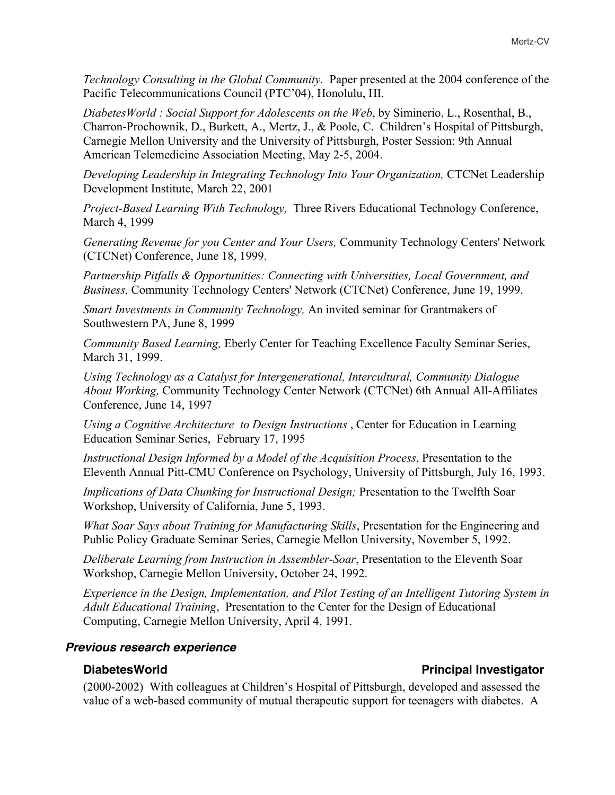*Technology Consulting in the Global Community.* Paper presented at the 2004 conference of the Pacific Telecommunications Council (PTC'04), Honolulu, HI.

*DiabetesWorld : Social Support for Adolescents on the Web*, by Siminerio, L., Rosenthal, B., Charron-Prochownik, D., Burkett, A., Mertz, J., & Poole, C. Children's Hospital of Pittsburgh, Carnegie Mellon University and the University of Pittsburgh, Poster Session: 9th Annual American Telemedicine Association Meeting, May 2-5, 2004.

*Developing Leadership in Integrating Technology Into Your Organization,* CTCNet Leadership Development Institute, March 22, 2001

*Project-Based Learning With Technology,* Three Rivers Educational Technology Conference, March 4, 1999

*Generating Revenue for you Center and Your Users,* Community Technology Centers' Network (CTCNet) Conference, June 18, 1999.

*Partnership Pitfalls & Opportunities: Connecting with Universities, Local Government, and Business,* Community Technology Centers' Network (CTCNet) Conference, June 19, 1999.

*Smart Investments in Community Technology,* An invited seminar for Grantmakers of Southwestern PA, June 8, 1999

*Community Based Learning,* Eberly Center for Teaching Excellence Faculty Seminar Series, March 31, 1999.

*Using Technology as a Catalyst for Intergenerational, Intercultural, Community Dialogue About Working,* Community Technology Center Network (CTCNet) 6th Annual All-Affiliates Conference, June 14, 1997

*Using a Cognitive Architecture to Design Instructions* , Center for Education in Learning Education Seminar Series, February 17, 1995

*Instructional Design Informed by a Model of the Acquisition Process*, Presentation to the Eleventh Annual Pitt-CMU Conference on Psychology, University of Pittsburgh, July 16, 1993.

*Implications of Data Chunking for Instructional Design;* Presentation to the Twelfth Soar Workshop, University of California, June 5, 1993.

*What Soar Says about Training for Manufacturing Skills*, Presentation for the Engineering and Public Policy Graduate Seminar Series, Carnegie Mellon University, November 5, 1992.

*Deliberate Learning from Instruction in Assembler-Soar*, Presentation to the Eleventh Soar Workshop, Carnegie Mellon University, October 24, 1992.

*Experience in the Design, Implementation, and Pilot Testing of an Intelligent Tutoring System in Adult Educational Training*, Presentation to the Center for the Design of Educational Computing, Carnegie Mellon University, April 4, 1991.

### *Previous research experience*

(2000-2002) With colleagues at Children's Hospital of Pittsburgh, developed and assessed the value of a web-based community of mutual therapeutic support for teenagers with diabetes. A

### **DiabetesWorld Principal Investigator**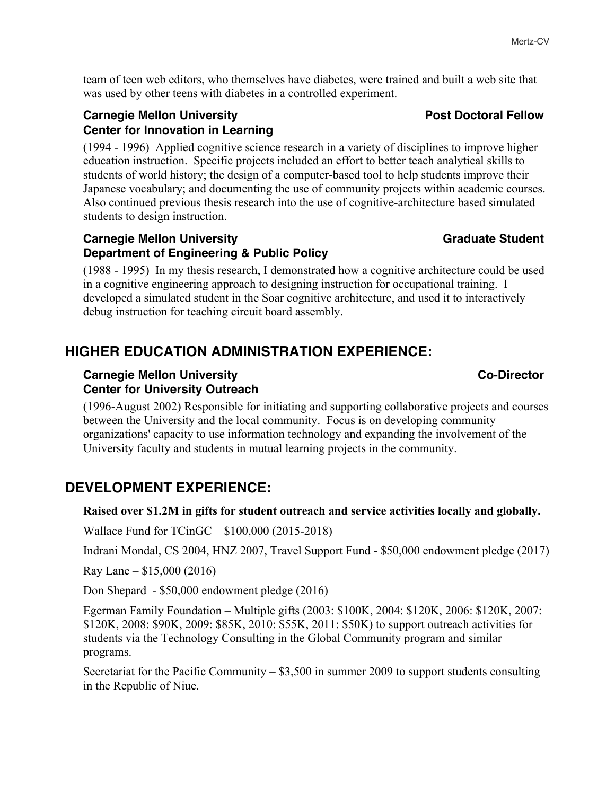team of teen web editors, who themselves have diabetes, were trained and built a web site that was used by other teens with diabetes in a controlled experiment.

### **Carnegie Mellon University Carnegie Mellow** Post Doctoral Fellow **Center for Innovation in Learning**

(1994 - 1996) Applied cognitive science research in a variety of disciplines to improve higher education instruction. Specific projects included an effort to better teach analytical skills to students of world history; the design of a computer-based tool to help students improve their Japanese vocabulary; and documenting the use of community projects within academic courses. Also continued previous thesis research into the use of cognitive-architecture based simulated students to design instruction.

### **Carnegie Mellon University Carnegie Mellon University Carnegie Mellon Carnegie Mellon Carnegie Advanturer Carnegie Mellon Carnegie Advanturer Carnegie Mellon Carnegie Advanturer Carnegie Advanturer Carnegie Advanturer Car Department of Engineering & Public Policy**

(1988 - 1995) In my thesis research, I demonstrated how a cognitive architecture could be used in a cognitive engineering approach to designing instruction for occupational training. I developed a simulated student in the Soar cognitive architecture, and used it to interactively debug instruction for teaching circuit board assembly.

# **HIGHER EDUCATION ADMINISTRATION EXPERIENCE:**

### **Carnegie Mellon University Community Construction Community Community Community Community Center for University Outreach**

(1996-August 2002) Responsible for initiating and supporting collaborative projects and courses between the University and the local community. Focus is on developing community organizations' capacity to use information technology and expanding the involvement of the University faculty and students in mutual learning projects in the community.

# **DEVELOPMENT EXPERIENCE:**

### **Raised over \$1.2M in gifts for student outreach and service activities locally and globally.**

Wallace Fund for TCinGC – \$100,000 (2015-2018)

Indrani Mondal, CS 2004, HNZ 2007, Travel Support Fund - \$50,000 endowment pledge (2017)

Ray Lane – \$15,000 (2016)

Don Shepard - \$50,000 endowment pledge (2016)

Egerman Family Foundation – Multiple gifts (2003: \$100K, 2004: \$120K, 2006: \$120K, 2007: \$120K, 2008: \$90K, 2009: \$85K, 2010: \$55K, 2011: \$50K) to support outreach activities for students via the Technology Consulting in the Global Community program and similar programs.

Secretariat for the Pacific Community – \$3,500 in summer 2009 to support students consulting in the Republic of Niue.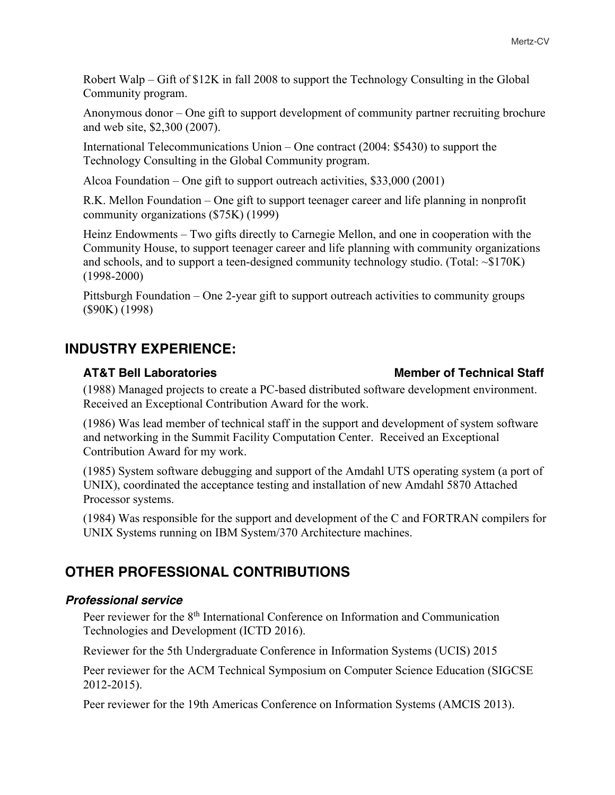Robert Walp – Gift of \$12K in fall 2008 to support the Technology Consulting in the Global Community program.

Anonymous donor – One gift to support development of community partner recruiting brochure and web site, \$2,300 (2007).

International Telecommunications Union – One contract (2004: \$5430) to support the Technology Consulting in the Global Community program.

Alcoa Foundation – One gift to support outreach activities, \$33,000 (2001)

R.K. Mellon Foundation – One gift to support teenager career and life planning in nonprofit community organizations (\$75K) (1999)

Heinz Endowments – Two gifts directly to Carnegie Mellon, and one in cooperation with the Community House, to support teenager career and life planning with community organizations and schools, and to support a teen-designed community technology studio. (Total:  $\sim $170K$ ) (1998-2000)

Pittsburgh Foundation – One 2-year gift to support outreach activities to community groups (\$90K) (1998)

## **INDUSTRY EXPERIENCE:**

### (1988) Managed projects to create a PC-based distributed software development environment. Received an Exceptional Contribution Award for the work.

(1986) Was lead member of technical staff in the support and development of system software and networking in the Summit Facility Computation Center. Received an Exceptional Contribution Award for my work.

(1985) System software debugging and support of the Amdahl UTS operating system (a port of UNIX), coordinated the acceptance testing and installation of new Amdahl 5870 Attached Processor systems.

(1984) Was responsible for the support and development of the C and FORTRAN compilers for UNIX Systems running on IBM System/370 Architecture machines.

## **OTHER PROFESSIONAL CONTRIBUTIONS**

### *Professional service*

Peer reviewer for the 8<sup>th</sup> International Conference on Information and Communication Technologies and Development (ICTD 2016).

Reviewer for the 5th Undergraduate Conference in Information Systems (UCIS) 2015

Peer reviewer for the ACM Technical Symposium on Computer Science Education (SIGCSE 2012-2015).

Peer reviewer for the 19th Americas Conference on Information Systems (AMCIS 2013).

### **AT&T Bell Laboratories Member of Technical Staff**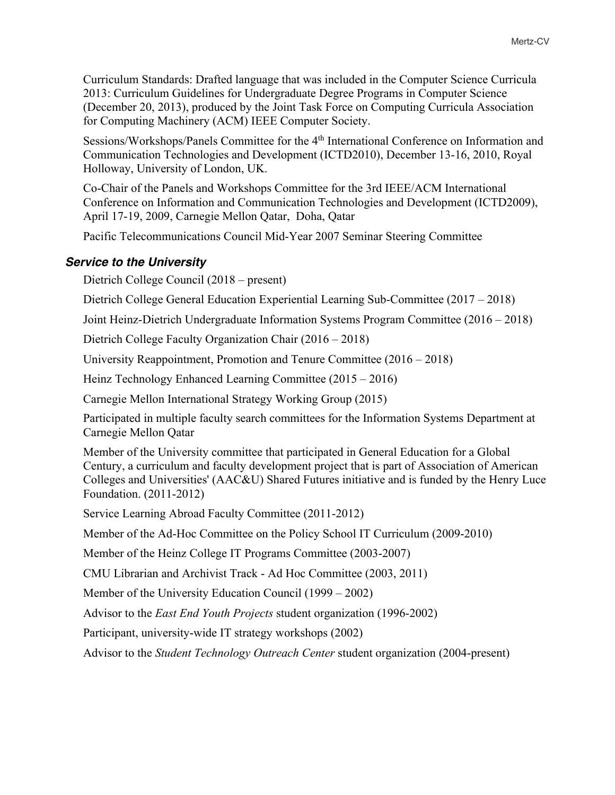Curriculum Standards: Drafted language that was included in the Computer Science Curricula 2013: Curriculum Guidelines for Undergraduate Degree Programs in Computer Science (December 20, 2013), produced by the Joint Task Force on Computing Curricula Association for Computing Machinery (ACM) IEEE Computer Society.

Sessions/Workshops/Panels Committee for the 4th International Conference on Information and Communication Technologies and Development (ICTD2010), December 13-16, 2010, Royal Holloway, University of London, UK.

Co-Chair of the Panels and Workshops Committee for the 3rd IEEE/ACM International Conference on Information and Communication Technologies and Development (ICTD2009), April 17-19, 2009, Carnegie Mellon Qatar, Doha, Qatar

Pacific Telecommunications Council Mid-Year 2007 Seminar Steering Committee

### *Service to the University*

Dietrich College Council (2018 – present)

Dietrich College General Education Experiential Learning Sub-Committee (2017 – 2018)

Joint Heinz-Dietrich Undergraduate Information Systems Program Committee (2016 – 2018)

Dietrich College Faculty Organization Chair (2016 – 2018)

University Reappointment, Promotion and Tenure Committee (2016 – 2018)

Heinz Technology Enhanced Learning Committee (2015 – 2016)

Carnegie Mellon International Strategy Working Group (2015)

Participated in multiple faculty search committees for the Information Systems Department at Carnegie Mellon Qatar

Member of the University committee that participated in General Education for a Global Century, a curriculum and faculty development project that is part of Association of American Colleges and Universities' (AAC&U) Shared Futures initiative and is funded by the Henry Luce Foundation. (2011-2012)

Service Learning Abroad Faculty Committee (2011-2012)

Member of the Ad-Hoc Committee on the Policy School IT Curriculum (2009-2010)

Member of the Heinz College IT Programs Committee (2003-2007)

CMU Librarian and Archivist Track - Ad Hoc Committee (2003, 2011)

Member of the University Education Council (1999 – 2002)

Advisor to the *East End Youth Projects* student organization (1996-2002)

Participant, university-wide IT strategy workshops (2002)

Advisor to the *Student Technology Outreach Center* student organization (2004-present)